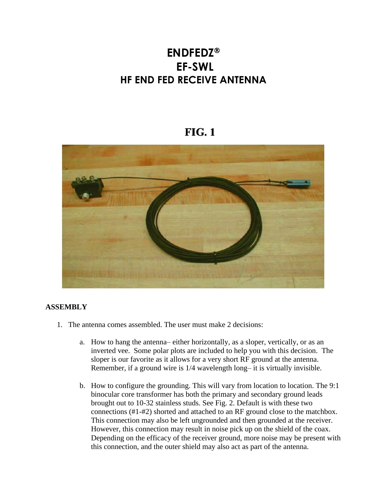## **ENDFEDZ EF-SWL HF END FED RECEIVE ANTENNA**

## **FIG. 1**



## **ASSEMBLY**

- 1. The antenna comes assembled. The user must make 2 decisions:
	- a. How to hang the antenna– either horizontally, as a sloper, vertically, or as an inverted vee. Some polar plots are included to help you with this decision. The sloper is our favorite as it allows for a very short RF ground at the antenna. Remember, if a ground wire is 1/4 wavelength long– it is virtually invisible.
	- b. How to configure the grounding. This will vary from location to location. The 9:1 binocular core transformer has both the primary and secondary ground leads brought out to 10-32 stainless studs. See Fig. 2. Default is with these two connections (#1-#2) shorted and attached to an RF ground close to the matchbox. This connection may also be left ungrounded and then grounded at the receiver. However, this connection may result in noise pick up on the shield of the coax. Depending on the efficacy of the receiver ground, more noise may be present with this connection, and the outer shield may also act as part of the antenna.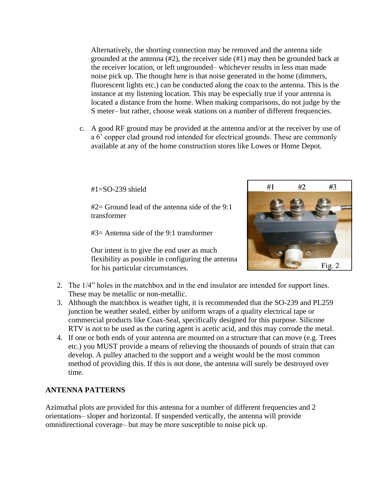Alternatively, the shorting connection may be removed and the antenna side grounded at the antenna (#2), the receiver side (#1) may then be grounded back at the receiver location, or left ungrounded– whichever results in less man made noise pick up. The thought here is that noise generated in the home (dimmers, fluorescent lights etc.) can be conducted along the coax to the antenna. This is the instance at my listening location. This may be especially true if your antenna is located a distance from the home. When making comparisons, do not judge by the S meter– but rather, choose weak stations on a number of different frequencies.

c. A good RF ground may be provided at the antenna and/or at the receiver by use of a 6' copper clad ground rod intended for electrical grounds. These are commonly available at any of the home construction stores like Lowes or Home Depot.

 $#1 = SO-239$  shield

#2= Ground lead of the antenna side of the 9:1 transformer

#3= Antenna side of the 9:1 transformer

Our intent is to give the end user as much flexibility as possible in configuring the antenna for his particular circumstances.



- 2. The 1/4" holes in the matchbox and in the end insulator are intended for support lines. These may be metallic or non-metallic.
- 3. Although the matchbox is weather tight, it is recommended that the SO-239 and PL259 junction be weather sealed, either by uniform wraps of a quality electrical tape or commercial products like Coax-Seal, specifically designed for this purpose. Silicone RTV is not to be used as the curing agent is acetic acid, and this may corrode the metal.
- 4. If one or both ends of your antenna are mounted on a structure that can move (e.g. Trees etc.) you MUST provide a means of relieving the thousands of pounds of strain that can develop. A pulley attached to the support and a weight would be the most common method of providing this. If this is not done, the antenna will surely be destroyed over time.

## **ANTENNA PATTERNS**

Azimuthal plots are provided for this antenna for a number of different frequencies and 2 orientations– sloper and horizontal. If suspended vertically, the antenna will provide omnidirectional coverage– but may be more susceptible to noise pick up.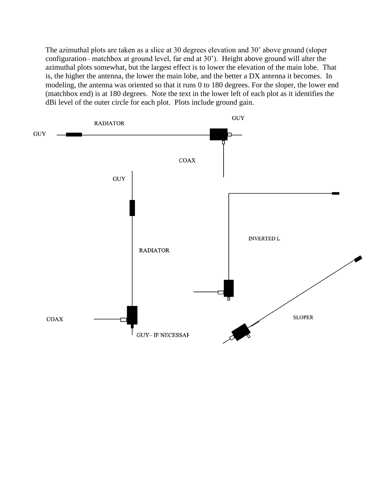The azimuthal plots are taken as a slice at 30 degrees elevation and 30' above ground (sloper configuration– matchbox at ground level, far end at 30'). Height above ground will alter the azimuthal plots somewhat, but the largest effect is to lower the elevation of the main lobe. That is, the higher the antenna, the lower the main lobe, and the better a DX antenna it becomes. In modeling, the antenna was oriented so that it runs 0 to 180 degrees. For the sloper, the lower end (matchbox end) is at 180 degrees. Note the text in the lower left of each plot as it identifies the dBi level of the outer circle for each plot. Plots include ground gain.